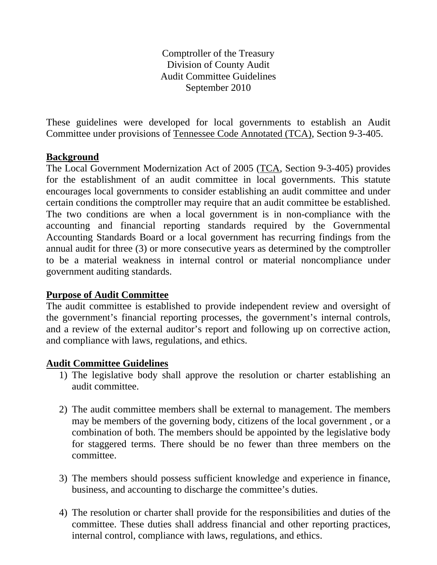Comptroller of the Treasury Division of County Audit Audit Committee Guidelines September 2010

These guidelines were developed for local governments to establish an Audit Committee under provisions of Tennessee Code Annotated (TCA), Section 9-3-405.

## **Background**

The Local Government Modernization Act of 2005 (TCA, Section 9-3-405) provides for the establishment of an audit committee in local governments. This statute encourages local governments to consider establishing an audit committee and under certain conditions the comptroller may require that an audit committee be established. The two conditions are when a local government is in non-compliance with the accounting and financial reporting standards required by the Governmental Accounting Standards Board or a local government has recurring findings from the annual audit for three (3) or more consecutive years as determined by the comptroller to be a material weakness in internal control or material noncompliance under government auditing standards.

## **Purpose of Audit Committee**

The audit committee is established to provide independent review and oversight of the government's financial reporting processes, the government's internal controls, and a review of the external auditor's report and following up on corrective action, and compliance with laws, regulations, and ethics.

## **Audit Committee Guidelines**

- 1) The legislative body shall approve the resolution or charter establishing an audit committee.
- 2) The audit committee members shall be external to management. The members may be members of the governing body, citizens of the local government , or a combination of both. The members should be appointed by the legislative body for staggered terms. There should be no fewer than three members on the committee.
- 3) The members should possess sufficient knowledge and experience in finance, business, and accounting to discharge the committee's duties.
- 4) The resolution or charter shall provide for the responsibilities and duties of the committee. These duties shall address financial and other reporting practices, internal control, compliance with laws, regulations, and ethics.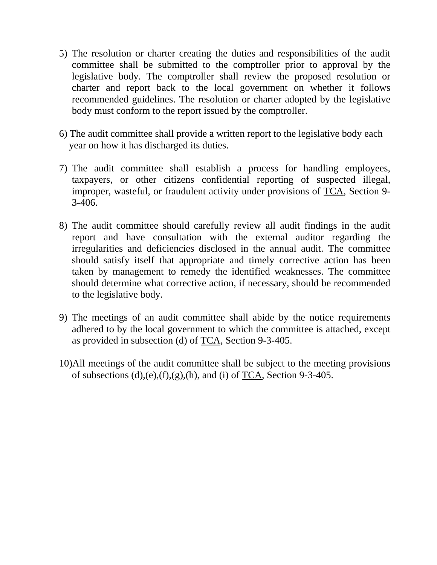- 5) The resolution or charter creating the duties and responsibilities of the audit committee shall be submitted to the comptroller prior to approval by the legislative body. The comptroller shall review the proposed resolution or charter and report back to the local government on whether it follows recommended guidelines. The resolution or charter adopted by the legislative body must conform to the report issued by the comptroller.
- 6) The audit committee shall provide a written report to the legislative body each year on how it has discharged its duties.
- 7) The audit committee shall establish a process for handling employees, taxpayers, or other citizens confidential reporting of suspected illegal, improper, wasteful, or fraudulent activity under provisions of TCA, Section 9- 3-406.
- 8) The audit committee should carefully review all audit findings in the audit report and have consultation with the external auditor regarding the irregularities and deficiencies disclosed in the annual audit. The committee should satisfy itself that appropriate and timely corrective action has been taken by management to remedy the identified weaknesses. The committee should determine what corrective action, if necessary, should be recommended to the legislative body.
- 9) The meetings of an audit committee shall abide by the notice requirements adhered to by the local government to which the committee is attached, except as provided in subsection (d) of TCA, Section 9-3-405.
- 10)All meetings of the audit committee shall be subject to the meeting provisions of subsections  $(d)$ , $(e)$ , $(f)$ , $(g)$ , $(h)$ , and  $(i)$  of TCA, Section 9-3-405.